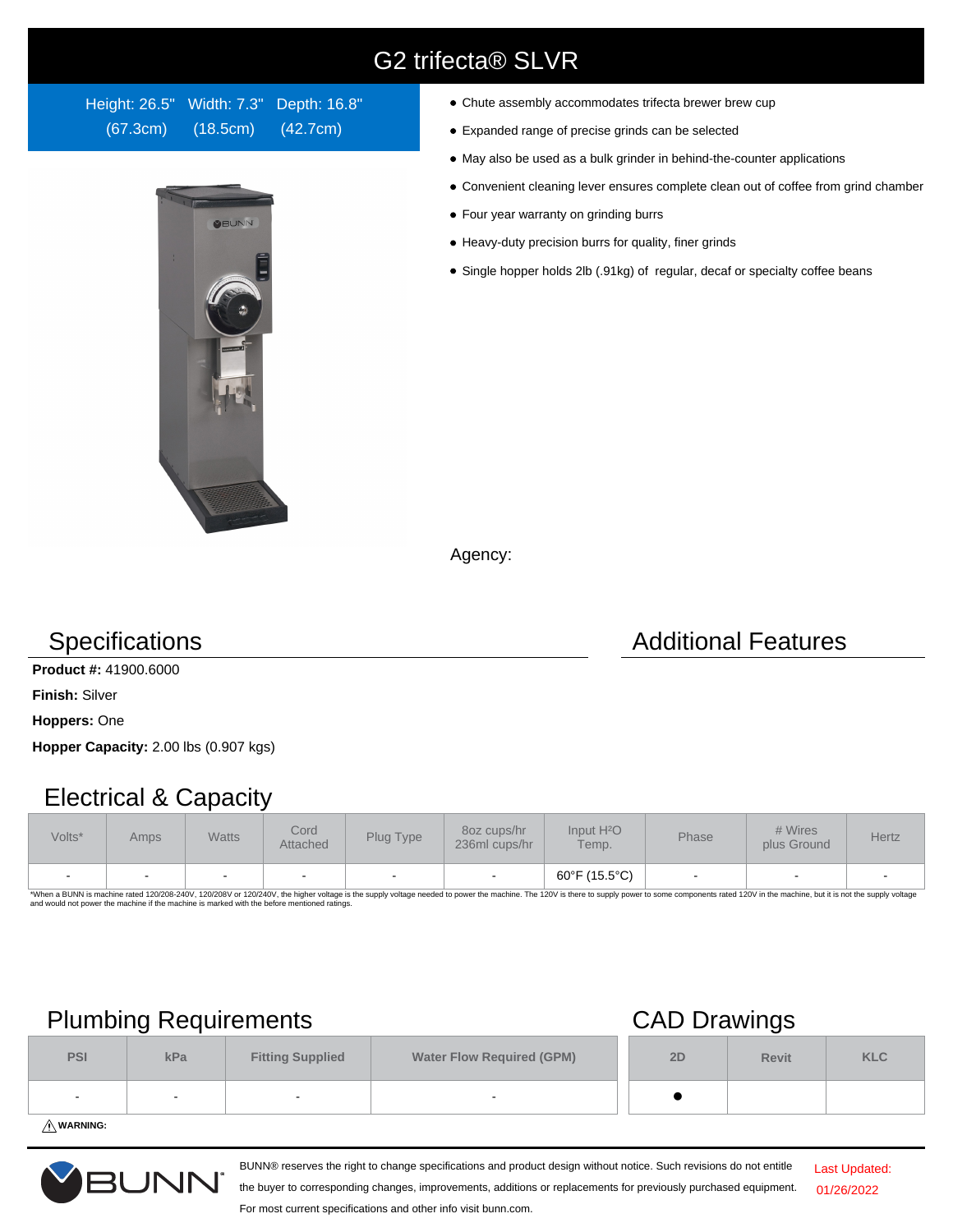# G2 trifecta® SLVR

Height: 26.5" Width: 7.3" Depth: 16.8" (67.3cm) (18.5cm) (42.7cm)



- Chute assembly accommodates trifecta brewer brew cup
- Expanded range of precise grinds can be selected
- May also be used as a bulk grinder in behind-the-counter applications
- Convenient cleaning lever ensures complete clean out of coffee from grind chamber
- Four year warranty on grinding burrs
- Heavy-duty precision burrs for quality, finer grinds
- Single hopper holds 2lb (.91kg) of regular, decaf or specialty coffee beans

Agency:

**Product #:** 41900.6000

**Finish:** Silver

**Hoppers:** One

**Hopper Capacity:** 2.00 lbs (0.907 kgs)

### Electrical & Capacity

| Volts* | Amps | <b>Watts</b> | Cord<br>Attached | Plug Type                | 80z cups/hr<br>236ml cups/hr | Input H <sup>2</sup> O<br>Temp. | Phase | # Wires<br>plus Ground | <b>Hertz</b>             |
|--------|------|--------------|------------------|--------------------------|------------------------------|---------------------------------|-------|------------------------|--------------------------|
|        |      |              |                  | $\overline{\phantom{0}}$ |                              | 60°F (15.5°C)                   |       |                        | $\overline{\phantom{0}}$ |

\*When a BUNN is machine rated 120/208-240V, 120/208V or 120/240V, the higher voltage is the supply voltage needed to power the machine. The 120V is there to supply power to some components rated 120V in the machine, but it

## Plumbing Requirements CAD Drawings

|            |     |                         | --                               |    |              |            |
|------------|-----|-------------------------|----------------------------------|----|--------------|------------|
| <b>PSI</b> | kPa | <b>Fitting Supplied</b> | <b>Water Flow Required (GPM)</b> | 2D | <b>Revit</b> | <b>KLC</b> |
|            |     |                         | -                                |    |              |            |
|            |     |                         |                                  |    |              |            |

**WARNING:**



BUNN® reserves the right to change specifications and product design without notice. Such revisions do not entitle

Last Updated: 01/26/2022

the buyer to corresponding changes, improvements, additions or replacements for previously purchased equipment. For most current specifications and other info visit bunn.com.

# **Specifications Additional Features**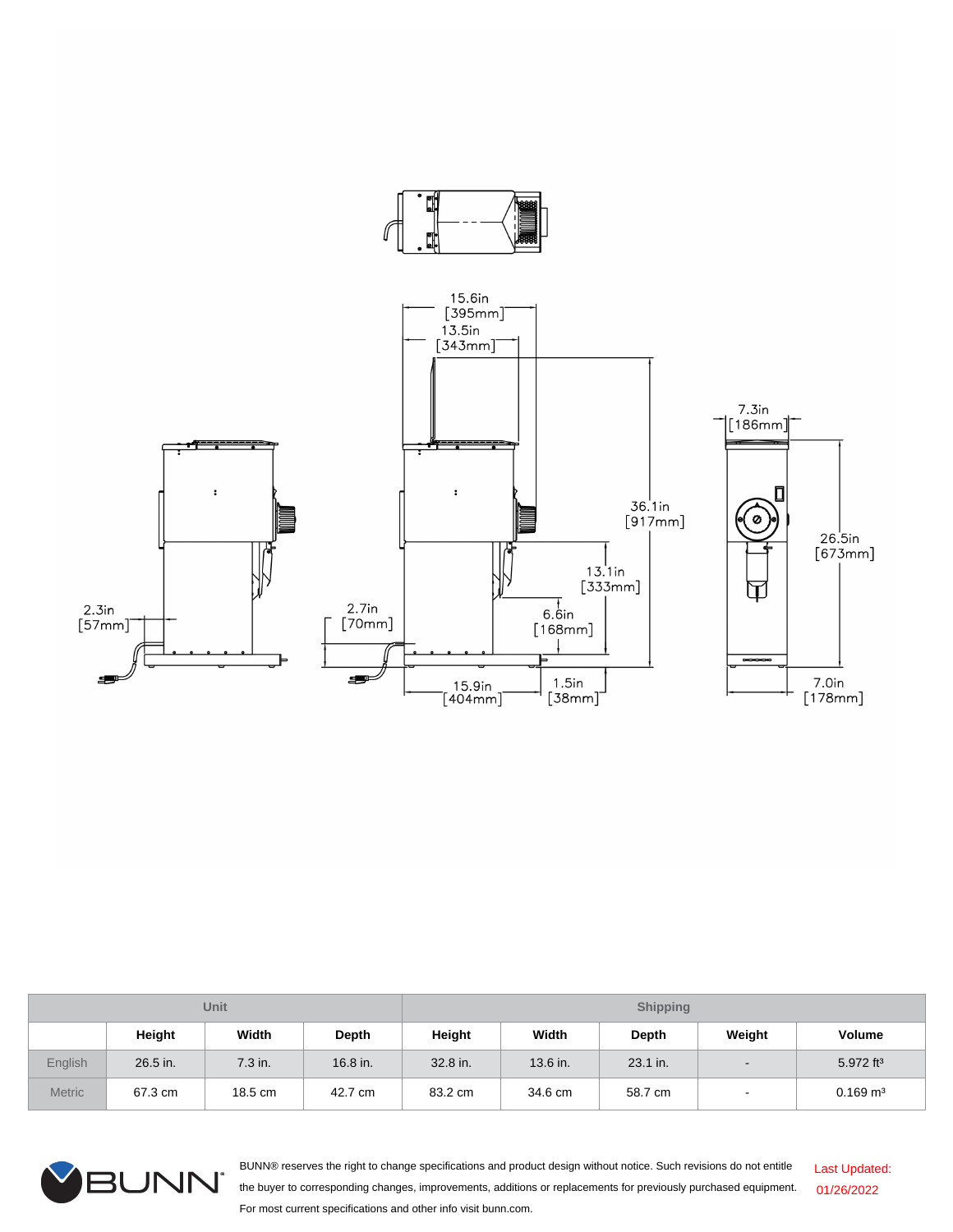

| <b>Unit</b>   |          |         |          | <b>Shipping</b> |          |              |                          |                        |  |
|---------------|----------|---------|----------|-----------------|----------|--------------|--------------------------|------------------------|--|
|               | Height   | Width   | Depth    | Height          | Width    | <b>Depth</b> | Weight                   | Volume                 |  |
| English       | 26.5 in. | 7.3 in. | 16.8 in. | 32.8 in.        | 13.6 in. | 23.1 in.     | $\overline{\phantom{a}}$ | 5.972 ft <sup>3</sup>  |  |
| <b>Metric</b> | 67.3 cm  | 18.5 cm | 42.7 cm  | 83.2 cm         | 34.6 cm  | 58.7 cm      |                          | $0.169$ m <sup>3</sup> |  |



BUNN® reserves the right to change specifications and product design without notice. Such revisions do not entitle the buyer to corresponding changes, improvements, additions or replacements for previously purchased equipment. For most current specifications and other info visit bunn.com. Last Updated: 01/26/2022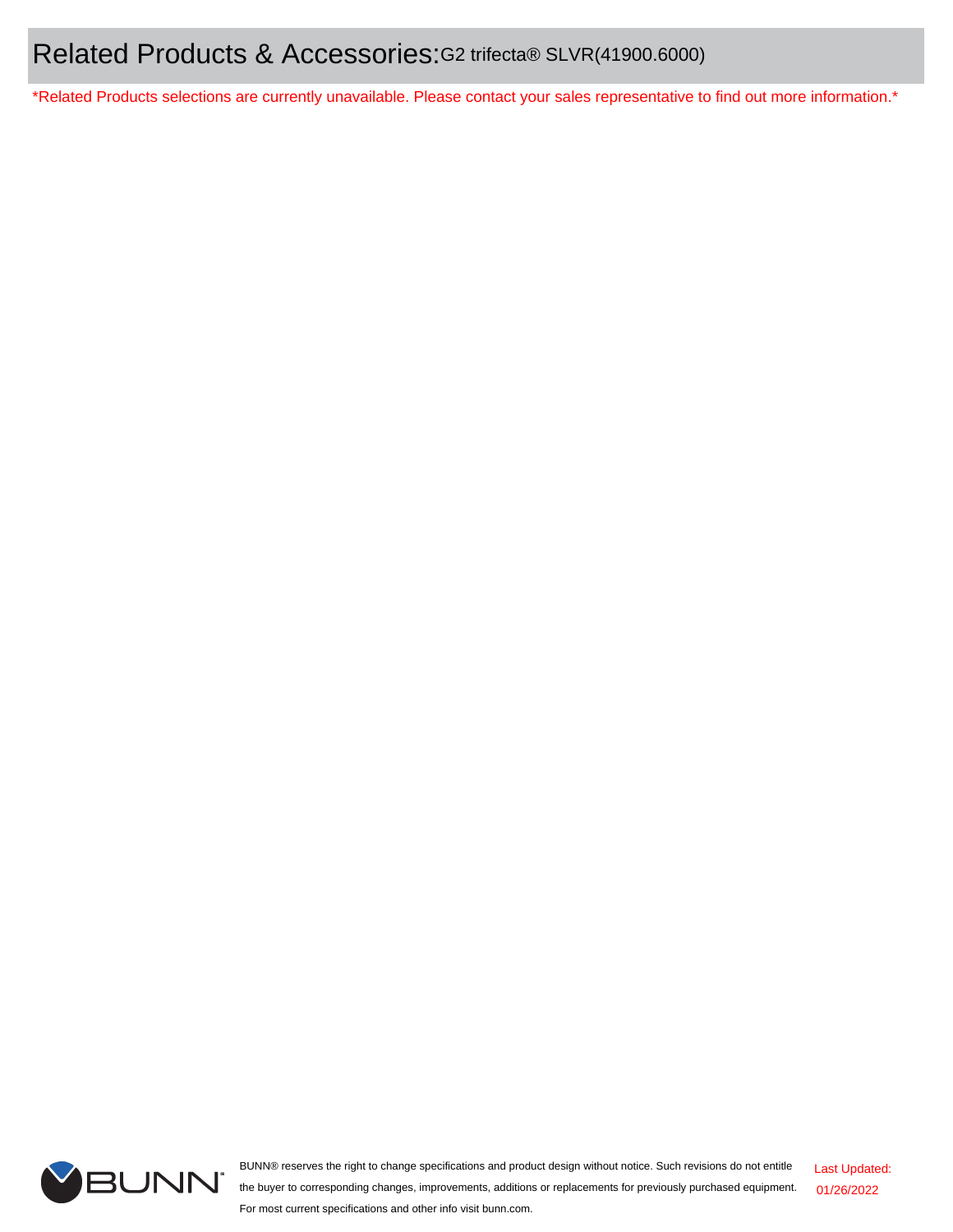\*Related Products selections are currently unavailable. Please contact your sales representative to find out more information.\*



BUNN® reserves the right to change specifications and product design without notice. Such revisions do not entitle the buyer to corresponding changes, improvements, additions or replacements for previously purchased equipment. For most current specifications and other info visit bunn.com.